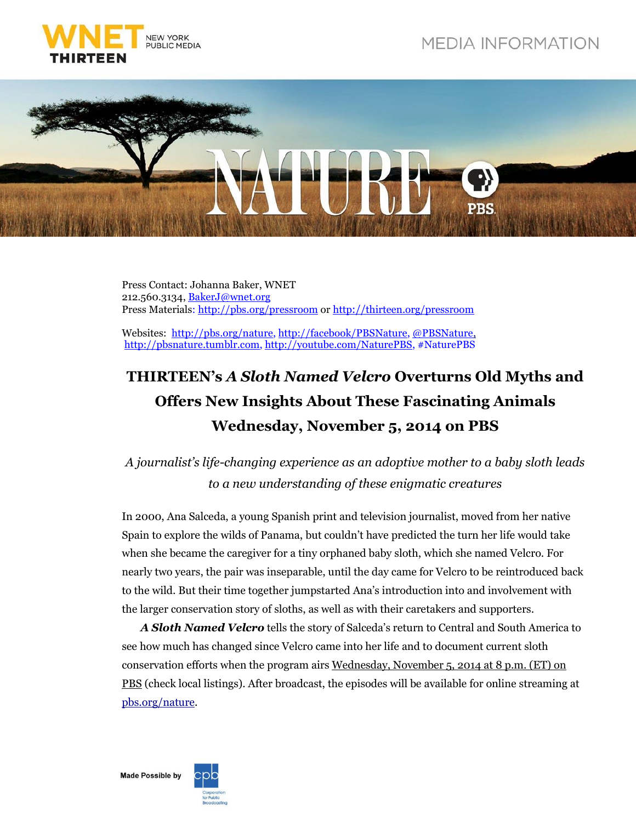



Press Contact: Johanna Baker, WNET 212.560.3134, [BakerJ@wnet.org](mailto:BakerJ@wnet.org) Press Materials: http:/[/pbs.org/pressroom](http://pressroom.pbs.org/) or http://[thirteen.org/pressroom](http://www.thirteen.org/pressroom)

Websites: http:/[/pbs.org/nature,](http://www.pbs.org/nature) http:/[/facebook/PBSNature,](http://www.facebook.com/PBSNature) [@PBSNature,](file://thirteen.org/departments/Communications/Commgrp/leed/Local%20Settings/Temporary%20Internet%20Files/leed/Local%20Settings/Documents%20and%20Settings/Murphy/Local%20Settings/Revealing%20the%20Leopard/Press%20Release/twitter.com/pbsnature) http:/[/pbsnature.](http://pbsnature.tumblr.com/)tumblr.co[m, http://youtube.com/NaturePBS,](file:///C:/Users/BakerJ/AppData/Local/Microsoft/Windows/Temporary%20Internet%20Files/Content.Outlook/OSX0GA2J/,%20http:/youtube.com/NaturePBS) #NaturePBS

## **THIRTEEN's** *A Sloth Named Velcro* **Overturns Old Myths and Offers New Insights About These Fascinating Animals Wednesday, November 5, 2014 on PBS**

## *A journalist's life-changing experience as an adoptive mother to a baby sloth leads to a new understanding of these enigmatic creatures*

In 2000, Ana Salceda, a young Spanish print and television journalist, moved from her native Spain to explore the wilds of Panama, but couldn't have predicted the turn her life would take when she became the caregiver for a tiny orphaned baby sloth, which she named Velcro. For nearly two years, the pair was inseparable, until the day came for Velcro to be reintroduced back to the wild. But their time together jumpstarted Ana's introduction into and involvement with the larger conservation story of sloths, as well as with their caretakers and supporters.

*A Sloth Named Velcro* tells the story of Salceda's return to Central and South America to see how much has changed since Velcro came into her life and to document current sloth conservation efforts when the program airs Wednesday, November 5, 2014 at 8 p.m. (ET) on PBS (check local listings). After broadcast, the episodes will be available for online streaming at [pbs.org/nature.](http://www.pbs.org/wnet/nature/)

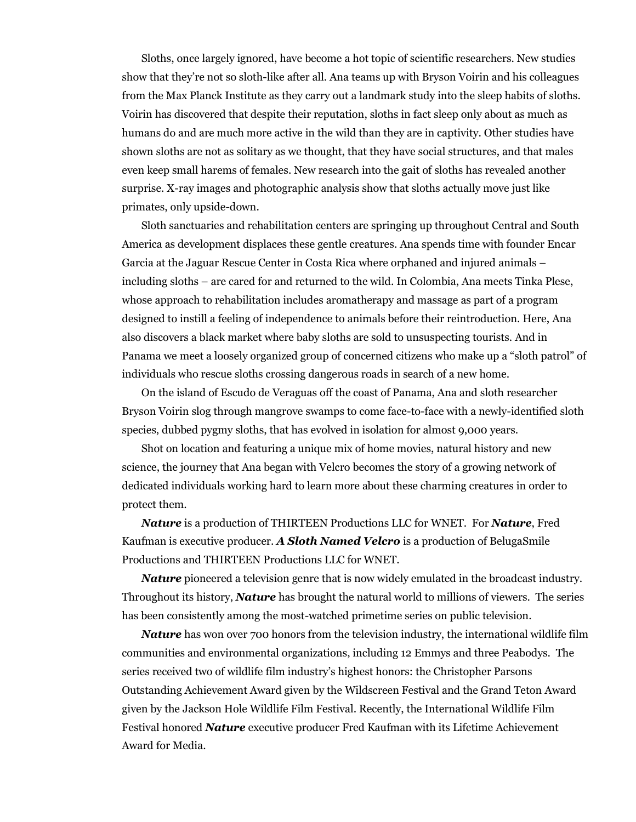Sloths, once largely ignored, have become a hot topic of scientific researchers. New studies show that they're not so sloth-like after all. Ana teams up with Bryson Voirin and his colleagues from the Max Planck Institute as they carry out a landmark study into the sleep habits of sloths. Voirin has discovered that despite their reputation, sloths in fact sleep only about as much as humans do and are much more active in the wild than they are in captivity. Other studies have shown sloths are not as solitary as we thought, that they have social structures, and that males even keep small harems of females. New research into the gait of sloths has revealed another surprise. X-ray images and photographic analysis show that sloths actually move just like primates, only upside-down.

Sloth sanctuaries and rehabilitation centers are springing up throughout Central and South America as development displaces these gentle creatures. Ana spends time with founder Encar Garcia at the Jaguar Rescue Center in Costa Rica where orphaned and injured animals – including sloths – are cared for and returned to the wild. In Colombia, Ana meets Tinka Plese, whose approach to rehabilitation includes aromatherapy and massage as part of a program designed to instill a feeling of independence to animals before their reintroduction. Here, Ana also discovers a black market where baby sloths are sold to unsuspecting tourists. And in Panama we meet a loosely organized group of concerned citizens who make up a "sloth patrol" of individuals who rescue sloths crossing dangerous roads in search of a new home.

On the island of Escudo de Veraguas off the coast of Panama, Ana and sloth researcher Bryson Voirin slog through mangrove swamps to come face-to-face with a newly-identified sloth species, dubbed pygmy sloths, that has evolved in isolation for almost 9,000 years.

Shot on location and featuring a unique mix of home movies, natural history and new science, the journey that Ana began with Velcro becomes the story of a growing network of dedicated individuals working hard to learn more about these charming creatures in order to protect them.

*Nature* is a production of THIRTEEN Productions LLC for WNET. For *Nature*, Fred Kaufman is executive producer. *A Sloth Named Velcro* is a production of BelugaSmile Productions and THIRTEEN Productions LLC for WNET.

*Nature* pioneered a television genre that is now widely emulated in the broadcast industry. Throughout its history, *Nature* has brought the natural world to millions of viewers. The series has been consistently among the most-watched primetime series on public television.

*Nature* has won over 700 honors from the television industry, the international wildlife film communities and environmental organizations, including 12 Emmys and three Peabodys. The series received two of wildlife film industry's highest honors: the Christopher Parsons Outstanding Achievement Award given by the Wildscreen Festival and the Grand Teton Award given by the Jackson Hole Wildlife Film Festival. Recently, the International Wildlife Film Festival honored *Nature* executive producer Fred Kaufman with its Lifetime Achievement Award for Media.